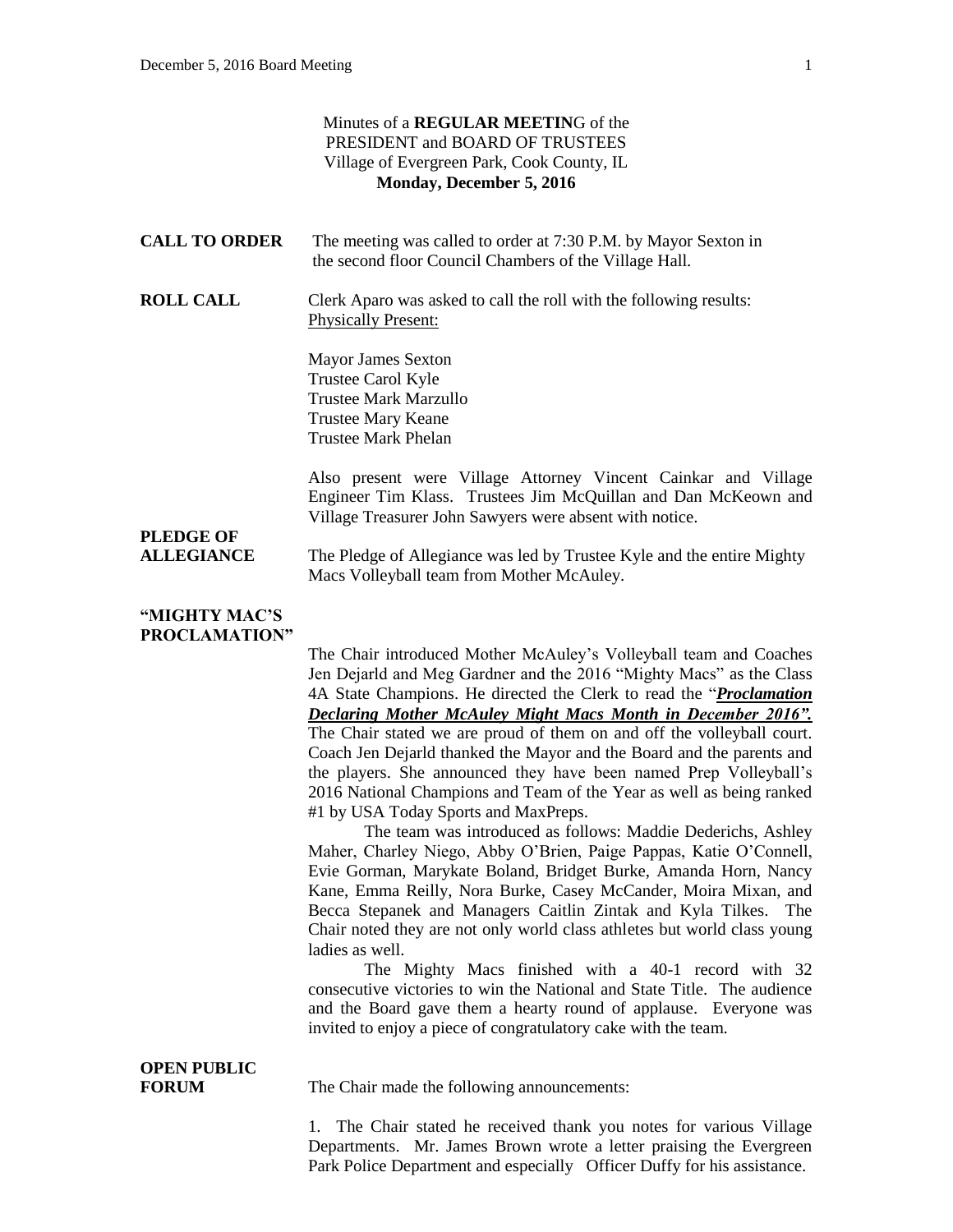| Minutes of a REGULAR MEETING of the<br>PRESIDENT and BOARD OF TRUSTEES<br>Village of Evergreen Park, Cook County, IL<br>Monday, December 5, 2016 |                                                                                                                                                                                                                                                                                                                                                                                                                                                                                                                                                                                                                                                                                                                                                                                                                                                                                                                                                                                                                                                                                                                                                                                                                                                                                        |  |
|--------------------------------------------------------------------------------------------------------------------------------------------------|----------------------------------------------------------------------------------------------------------------------------------------------------------------------------------------------------------------------------------------------------------------------------------------------------------------------------------------------------------------------------------------------------------------------------------------------------------------------------------------------------------------------------------------------------------------------------------------------------------------------------------------------------------------------------------------------------------------------------------------------------------------------------------------------------------------------------------------------------------------------------------------------------------------------------------------------------------------------------------------------------------------------------------------------------------------------------------------------------------------------------------------------------------------------------------------------------------------------------------------------------------------------------------------|--|
| <b>CALL TO ORDER</b>                                                                                                                             | The meeting was called to order at 7:30 P.M. by Mayor Sexton in<br>the second floor Council Chambers of the Village Hall.                                                                                                                                                                                                                                                                                                                                                                                                                                                                                                                                                                                                                                                                                                                                                                                                                                                                                                                                                                                                                                                                                                                                                              |  |
| <b>ROLL CALL</b>                                                                                                                                 | Clerk Aparo was asked to call the roll with the following results:<br><b>Physically Present:</b>                                                                                                                                                                                                                                                                                                                                                                                                                                                                                                                                                                                                                                                                                                                                                                                                                                                                                                                                                                                                                                                                                                                                                                                       |  |
|                                                                                                                                                  | <b>Mayor James Sexton</b><br>Trustee Carol Kyle<br><b>Trustee Mark Marzullo</b><br><b>Trustee Mary Keane</b><br><b>Trustee Mark Phelan</b>                                                                                                                                                                                                                                                                                                                                                                                                                                                                                                                                                                                                                                                                                                                                                                                                                                                                                                                                                                                                                                                                                                                                             |  |
|                                                                                                                                                  | Also present were Village Attorney Vincent Cainkar and Village<br>Engineer Tim Klass. Trustees Jim McQuillan and Dan McKeown and<br>Village Treasurer John Sawyers were absent with notice.                                                                                                                                                                                                                                                                                                                                                                                                                                                                                                                                                                                                                                                                                                                                                                                                                                                                                                                                                                                                                                                                                            |  |
| <b>PLEDGE OF</b><br><b>ALLEGIANCE</b>                                                                                                            | The Pledge of Allegiance was led by Trustee Kyle and the entire Mighty<br>Macs Volleyball team from Mother McAuley.                                                                                                                                                                                                                                                                                                                                                                                                                                                                                                                                                                                                                                                                                                                                                                                                                                                                                                                                                                                                                                                                                                                                                                    |  |
| "MIGHTY MAC'S<br>PROCLAMATION"                                                                                                                   |                                                                                                                                                                                                                                                                                                                                                                                                                                                                                                                                                                                                                                                                                                                                                                                                                                                                                                                                                                                                                                                                                                                                                                                                                                                                                        |  |
|                                                                                                                                                  | The Chair introduced Mother McAuley's Volleyball team and Coaches<br>Jen Dejarld and Meg Gardner and the 2016 "Mighty Macs" as the Class<br>4A State Champions. He directed the Clerk to read the " <i>Proclamation</i><br>Declaring Mother McAuley Might Macs Month in December 2016".<br>The Chair stated we are proud of them on and off the volleyball court.<br>Coach Jen Dejarld thanked the Mayor and the Board and the parents and<br>the players. She announced they have been named Prep Volleyball's<br>2016 National Champions and Team of the Year as well as being ranked<br>#1 by USA Today Sports and MaxPreps.<br>The team was introduced as follows: Maddie Dederichs, Ashley<br>Maher, Charley Niego, Abby O'Brien, Paige Pappas, Katie O'Connell,<br>Evie Gorman, Marykate Boland, Bridget Burke, Amanda Horn, Nancy<br>Kane, Emma Reilly, Nora Burke, Casey McCander, Moira Mixan, and<br>Becca Stepanek and Managers Caitlin Zintak and Kyla Tilkes.<br>The<br>Chair noted they are not only world class athletes but world class young<br>ladies as well.<br>The Mighty Macs finished with a 40-1 record with 32<br>consecutive victories to win the National and State Title. The audience<br>and the Board gave them a hearty round of applause. Everyone was |  |
| <b>OPEN PUBLIC</b>                                                                                                                               | invited to enjoy a piece of congratulatory cake with the team.                                                                                                                                                                                                                                                                                                                                                                                                                                                                                                                                                                                                                                                                                                                                                                                                                                                                                                                                                                                                                                                                                                                                                                                                                         |  |
| <b>FORUM</b>                                                                                                                                     | The Chair made the following announcements:                                                                                                                                                                                                                                                                                                                                                                                                                                                                                                                                                                                                                                                                                                                                                                                                                                                                                                                                                                                                                                                                                                                                                                                                                                            |  |
|                                                                                                                                                  | The Chair stated he received thank you notes for various Village<br>1.                                                                                                                                                                                                                                                                                                                                                                                                                                                                                                                                                                                                                                                                                                                                                                                                                                                                                                                                                                                                                                                                                                                                                                                                                 |  |

Departments. Mr. James Brown wrote a letter praising the Evergreen Park Police Department and especially Officer Duffy for his assistance.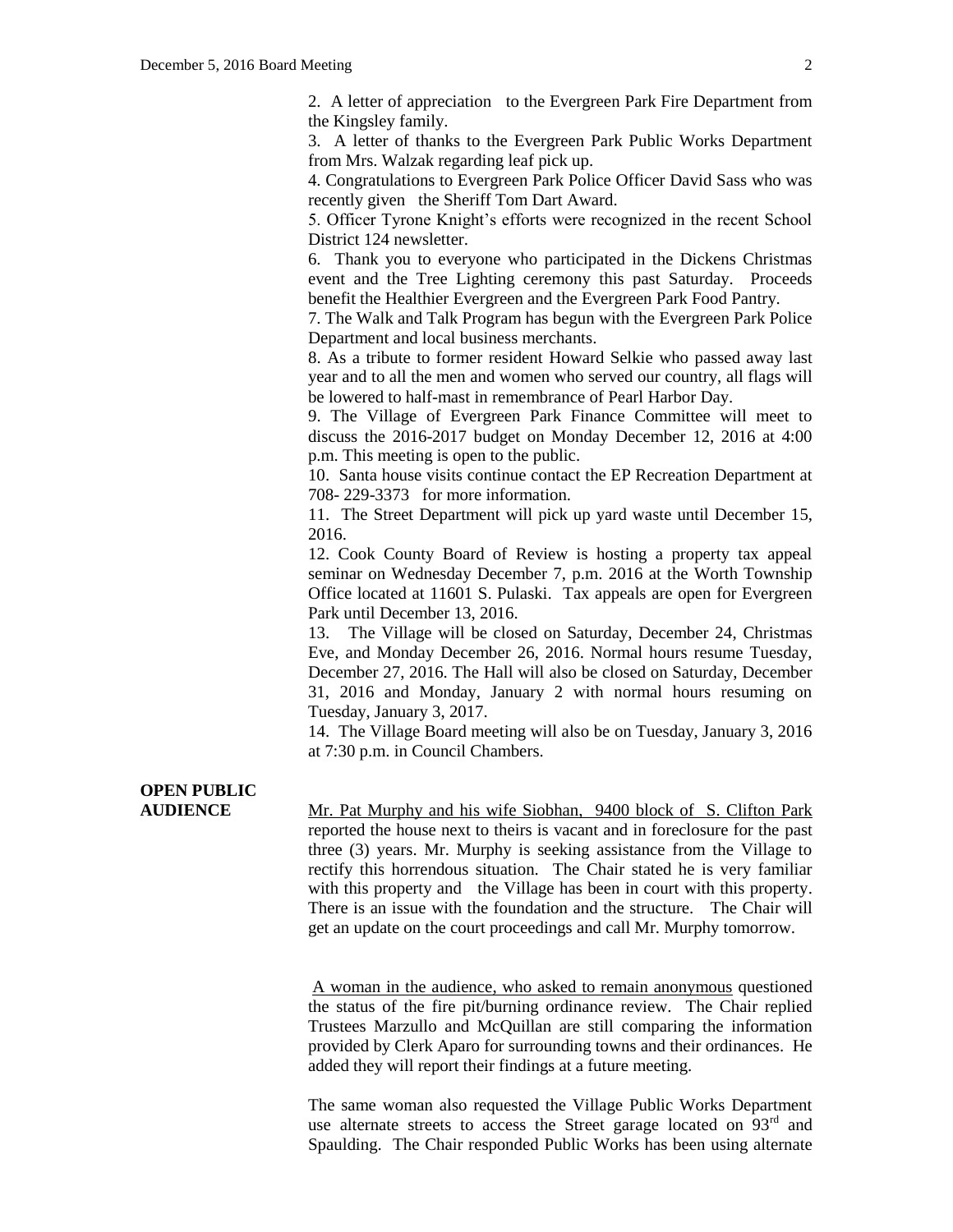2. A letter of appreciation to the Evergreen Park Fire Department from the Kingsley family.

3. A letter of thanks to the Evergreen Park Public Works Department from Mrs. Walzak regarding leaf pick up.

4. Congratulations to Evergreen Park Police Officer David Sass who was recently given the Sheriff Tom Dart Award.

5. Officer Tyrone Knight's efforts were recognized in the recent School District 124 newsletter.

6. Thank you to everyone who participated in the Dickens Christmas event and the Tree Lighting ceremony this past Saturday. Proceeds benefit the Healthier Evergreen and the Evergreen Park Food Pantry.

7. The Walk and Talk Program has begun with the Evergreen Park Police Department and local business merchants.

8. As a tribute to former resident Howard Selkie who passed away last year and to all the men and women who served our country, all flags will be lowered to half-mast in remembrance of Pearl Harbor Day.

9. The Village of Evergreen Park Finance Committee will meet to discuss the 2016-2017 budget on Monday December 12, 2016 at 4:00 p.m. This meeting is open to the public.

10. Santa house visits continue contact the EP Recreation Department at 708- 229-3373 for more information.

11. The Street Department will pick up yard waste until December 15, 2016.

12. Cook County Board of Review is hosting a property tax appeal seminar on Wednesday December 7, p.m. 2016 at the Worth Township Office located at 11601 S. Pulaski. Tax appeals are open for Evergreen Park until December 13, 2016.

13. The Village will be closed on Saturday, December 24, Christmas Eve, and Monday December 26, 2016. Normal hours resume Tuesday, December 27, 2016. The Hall will also be closed on Saturday, December 31, 2016 and Monday, January 2 with normal hours resuming on Tuesday, January 3, 2017.

14. The Village Board meeting will also be on Tuesday, January 3, 2016 at 7:30 p.m. in Council Chambers.

# **OPEN PUBLIC**

**AUDIENCE** Mr. Pat Murphy and his wife Siobhan, 9400 block of S. Clifton Park reported the house next to theirs is vacant and in foreclosure for the past three (3) years. Mr. Murphy is seeking assistance from the Village to rectify this horrendous situation. The Chair stated he is very familiar with this property and the Village has been in court with this property. There is an issue with the foundation and the structure. The Chair will get an update on the court proceedings and call Mr. Murphy tomorrow.

> A woman in the audience, who asked to remain anonymous questioned the status of the fire pit/burning ordinance review. The Chair replied Trustees Marzullo and McQuillan are still comparing the information provided by Clerk Aparo for surrounding towns and their ordinances. He added they will report their findings at a future meeting.

> The same woman also requested the Village Public Works Department use alternate streets to access the Street garage located on 93<sup>rd</sup> and Spaulding. The Chair responded Public Works has been using alternate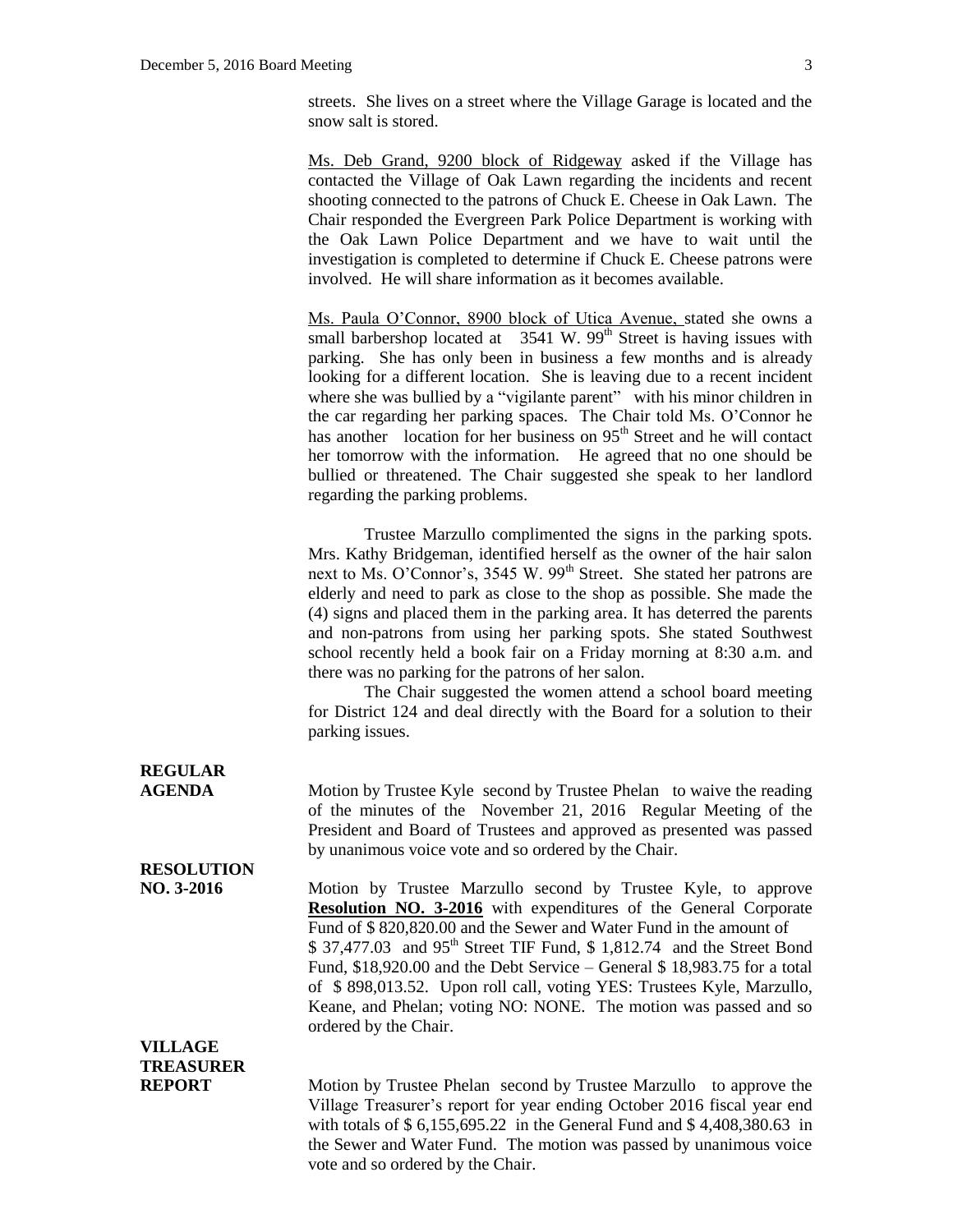streets. She lives on a street where the Village Garage is located and the snow salt is stored.

Ms. Deb Grand, 9200 block of Ridgeway asked if the Village has contacted the Village of Oak Lawn regarding the incidents and recent shooting connected to the patrons of Chuck E. Cheese in Oak Lawn. The Chair responded the Evergreen Park Police Department is working with the Oak Lawn Police Department and we have to wait until the investigation is completed to determine if Chuck E. Cheese patrons were involved. He will share information as it becomes available.

Ms. Paula O'Connor, 8900 block of Utica Avenue, stated she owns a small barbershop located at  $3541 \text{ W}$ .  $99^{\text{th}}$  Street is having issues with parking. She has only been in business a few months and is already looking for a different location. She is leaving due to a recent incident where she was bullied by a "vigilante parent" with his minor children in the car regarding her parking spaces. The Chair told Ms. O'Connor he has another location for her business on 95<sup>th</sup> Street and he will contact her tomorrow with the information. He agreed that no one should be bullied or threatened. The Chair suggested she speak to her landlord regarding the parking problems.

Trustee Marzullo complimented the signs in the parking spots. Mrs. Kathy Bridgeman, identified herself as the owner of the hair salon next to Ms. O'Connor's, 3545 W. 99<sup>th</sup> Street. She stated her patrons are elderly and need to park as close to the shop as possible. She made the (4) signs and placed them in the parking area. It has deterred the parents and non-patrons from using her parking spots. She stated Southwest school recently held a book fair on a Friday morning at 8:30 a.m. and there was no parking for the patrons of her salon.

The Chair suggested the women attend a school board meeting for District 124 and deal directly with the Board for a solution to their parking issues.

## **REGULAR**

**AGENDA** Motion by Trustee Kyle second by Trustee Phelan to waive the reading of the minutes of the November 21, 2016 Regular Meeting of the President and Board of Trustees and approved as presented was passed by unanimous voice vote and so ordered by the Chair.

#### **RESOLUTION**

**NO. 3-2016** Motion by Trustee Marzullo second by Trustee Kyle, to approve **Resolution NO. 3-2016** with expenditures of the General Corporate Fund of \$ 820,820.00 and the Sewer and Water Fund in the amount of  $$37,477.03$  and  $95<sup>th</sup>$  Street TIF Fund,  $$1,812.74$  and the Street Bond Fund, \$18,920.00 and the Debt Service – General \$ 18,983.75 for a total of \$ 898,013.52. Upon roll call, voting YES: Trustees Kyle, Marzullo, Keane, and Phelan; voting NO: NONE. The motion was passed and so ordered by the Chair.

#### **VILLAGE TREASURER**

**REPORT** Motion by Trustee Phelan second by Trustee Marzullo to approve the Village Treasurer's report for year ending October 2016 fiscal year end with totals of \$ 6,155,695.22 in the General Fund and \$ 4,408,380.63 in the Sewer and Water Fund. The motion was passed by unanimous voice vote and so ordered by the Chair.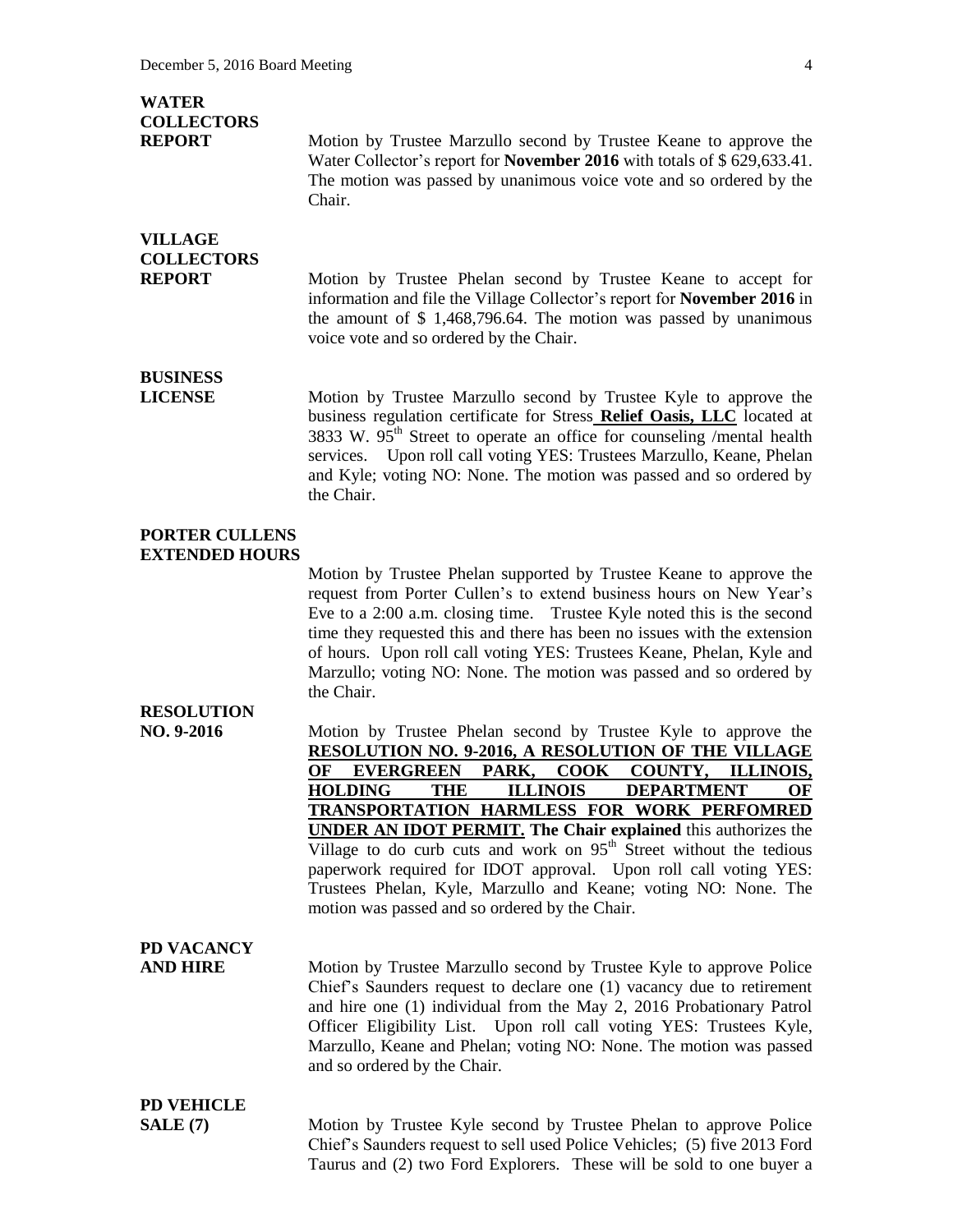#### **WATER COLLECTORS**

**REPORT** Motion by Trustee Marzullo second by Trustee Keane to approve the Water Collector's report for **November 2016** with totals of \$ 629,633.41. The motion was passed by unanimous voice vote and so ordered by the Chair.

#### **VILLAGE COLLECTORS**

**REPORT** Motion by Trustee Phelan second by Trustee Keane to accept for information and file the Village Collector's report for **November 2016** in the amount of \$ 1,468,796.64. The motion was passed by unanimous voice vote and so ordered by the Chair.

## **BUSINESS**

**LICENSE** Motion by Trustee Marzullo second by Trustee Kyle to approve the business regulation certificate for Stress **Relief Oasis, LLC** located at 3833 W.  $95<sup>th</sup>$  Street to operate an office for counseling /mental health services. Upon roll call voting YES: Trustees Marzullo, Keane, Phelan and Kyle; voting NO: None. The motion was passed and so ordered by the Chair.

#### **PORTER CULLENS EXTENDED HOURS**

Motion by Trustee Phelan supported by Trustee Keane to approve the request from Porter Cullen's to extend business hours on New Year's Eve to a 2:00 a.m. closing time. Trustee Kyle noted this is the second time they requested this and there has been no issues with the extension of hours. Upon roll call voting YES: Trustees Keane, Phelan, Kyle and Marzullo; voting NO: None. The motion was passed and so ordered by the Chair.

#### **RESOLUTION**

**NO. 9-2016** Motion by Trustee Phelan second by Trustee Kyle to approve the **RESOLUTION NO. 9-2016, A RESOLUTION OF THE VILLAGE OF EVERGREEN PARK, COOK COUNTY, ILLINOIS, HOLDING THE ILLINOIS DEPARTMENT OF TRANSPORTATION HARMLESS FOR WORK PERFOMRED UNDER AN IDOT PERMIT. The Chair explained** this authorizes the Village to do curb cuts and work on  $95<sup>th</sup>$  Street without the tedious paperwork required for IDOT approval. Upon roll call voting YES: Trustees Phelan, Kyle, Marzullo and Keane; voting NO: None. The motion was passed and so ordered by the Chair.

## **PD VACANCY**

**AND HIRE** Motion by Trustee Marzullo second by Trustee Kyle to approve Police Chief's Saunders request to declare one (1) vacancy due to retirement and hire one (1) individual from the May 2, 2016 Probationary Patrol Officer Eligibility List. Upon roll call voting YES: Trustees Kyle, Marzullo, Keane and Phelan; voting NO: None. The motion was passed and so ordered by the Chair.

## **PD VEHICLE**

**SALE (7)** Motion by Trustee Kyle second by Trustee Phelan to approve Police Chief's Saunders request to sell used Police Vehicles; (5) five 2013 Ford Taurus and (2) two Ford Explorers. These will be sold to one buyer a